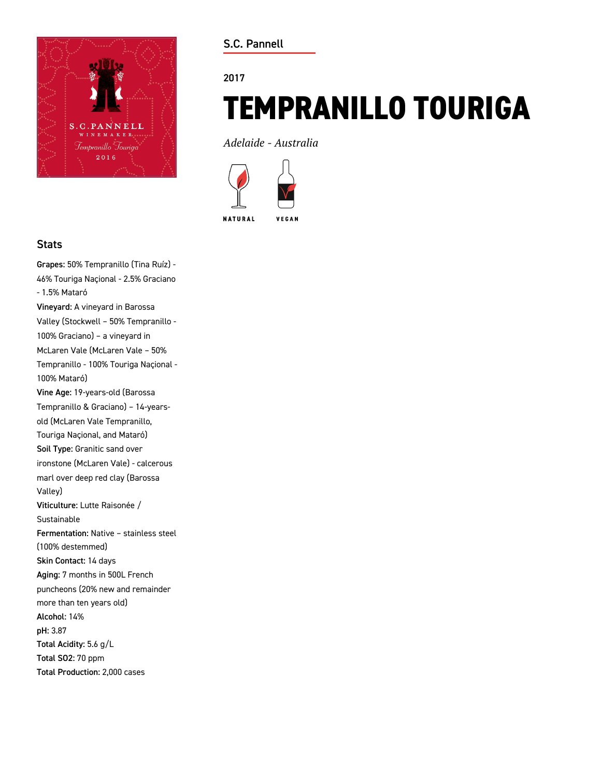

**S.C. Pannell**

#### **2017**

# **TEMPRANILLO TOURIGA**

*Adelaide - Australia*



### **Stats**

**Grapes:** 50% Tempranillo (Tina Ruíz) - 46% Touriga Naçional - 2.5% Graciano - 1.5% Mataró **Vineyard:** A vineyard in Barossa Valley (Stockwell – 50% Tempranillo - 100% Graciano) – a vineyard in McLaren Vale (McLaren Vale – 50% Tempranillo - 100% Touriga Naçional - 100% Mataró) **Vine Age:** 19-years-old (Barossa Tempranillo & Graciano) – 14-yearsold (McLaren Vale Tempranillo, Touriga Naçional, and Mataró) **Soil Type:** Granitic sand over ironstone (McLaren Vale) - calcerous marl over deep red clay (Barossa Valley) **Viticulture:** Lutte Raisonée / Sustainable **Fermentation:** Native – stainless steel (100% destemmed) **Skin Contact:** 14 days **Aging:** 7 months in 500L French puncheons (20% new and remainder more than ten years old) **Alcohol:** 14% **pH:** 3.87 **Total Acidity:** 5.6 g/L **Total SO2:** 70 ppm **Total Production:** 2,000 cases